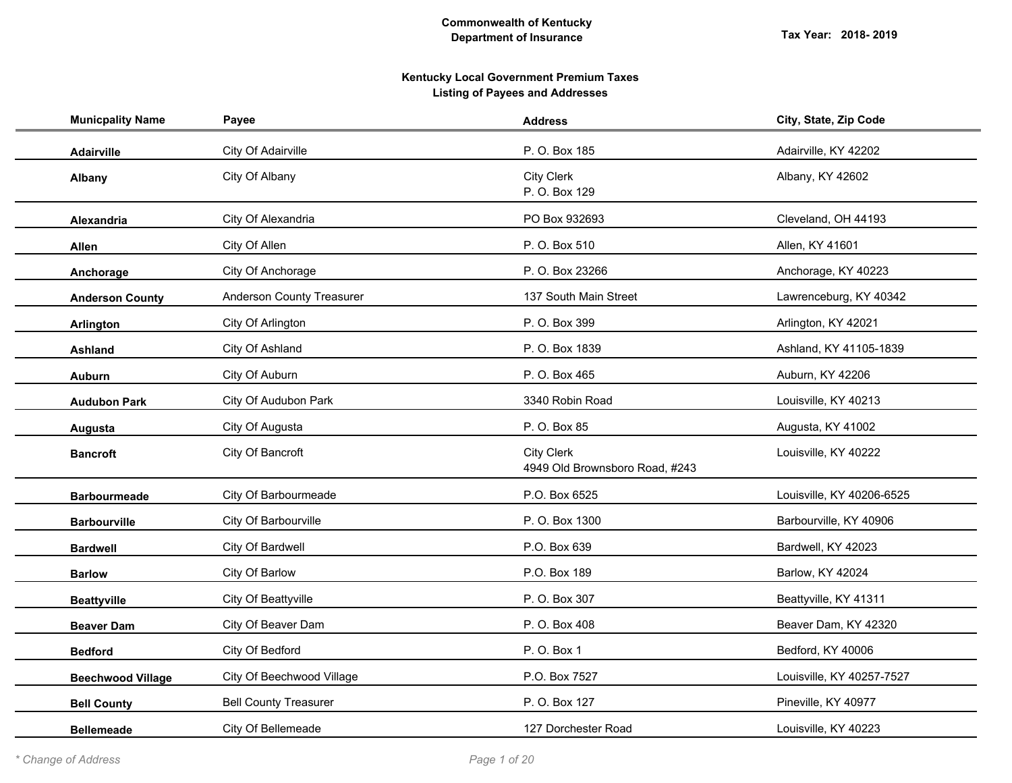| <b>Municpality Name</b>  | Payee                            | <b>Address</b>                                      | City, State, Zip Code     |
|--------------------------|----------------------------------|-----------------------------------------------------|---------------------------|
| <b>Adairville</b>        | City Of Adairville               | P. O. Box 185                                       | Adairville, KY 42202      |
| Albany                   | City Of Albany                   | <b>City Clerk</b><br>P. O. Box 129                  | Albany, KY 42602          |
| <b>Alexandria</b>        | City Of Alexandria               | PO Box 932693                                       | Cleveland, OH 44193       |
| Allen                    | City Of Allen                    | P. O. Box 510                                       | Allen, KY 41601           |
| Anchorage                | City Of Anchorage                | P. O. Box 23266                                     | Anchorage, KY 40223       |
| <b>Anderson County</b>   | <b>Anderson County Treasurer</b> | 137 South Main Street                               | Lawrenceburg, KY 40342    |
| Arlington                | City Of Arlington                | P. O. Box 399                                       | Arlington, KY 42021       |
| <b>Ashland</b>           | City Of Ashland                  | P. O. Box 1839                                      | Ashland, KY 41105-1839    |
| <b>Auburn</b>            | City Of Auburn                   | P. O. Box 465                                       | Auburn, KY 42206          |
| <b>Audubon Park</b>      | City Of Audubon Park             | 3340 Robin Road                                     | Louisville, KY 40213      |
| Augusta                  | City Of Augusta                  | P. O. Box 85                                        | Augusta, KY 41002         |
| <b>Bancroft</b>          | City Of Bancroft                 | <b>City Clerk</b><br>4949 Old Brownsboro Road, #243 | Louisville, KY 40222      |
| <b>Barbourmeade</b>      | City Of Barbourmeade             | P.O. Box 6525                                       | Louisville, KY 40206-6525 |
| <b>Barbourville</b>      | City Of Barbourville             | P. O. Box 1300                                      | Barbourville, KY 40906    |
| <b>Bardwell</b>          | City Of Bardwell                 | P.O. Box 639                                        | Bardwell, KY 42023        |
| <b>Barlow</b>            | City Of Barlow                   | P.O. Box 189                                        | Barlow, KY 42024          |
| <b>Beattyville</b>       | City Of Beattyville              | P. O. Box 307                                       | Beattyville, KY 41311     |
| <b>Beaver Dam</b>        | City Of Beaver Dam               | P. O. Box 408                                       | Beaver Dam, KY 42320      |
| <b>Bedford</b>           | City Of Bedford                  | P. O. Box 1                                         | Bedford, KY 40006         |
| <b>Beechwood Village</b> | City Of Beechwood Village        | P.O. Box 7527                                       | Louisville, KY 40257-7527 |
| <b>Bell County</b>       | <b>Bell County Treasurer</b>     | P. O. Box 127                                       | Pineville, KY 40977       |
| <b>Bellemeade</b>        | City Of Bellemeade               | 127 Dorchester Road                                 | Louisville, KY 40223      |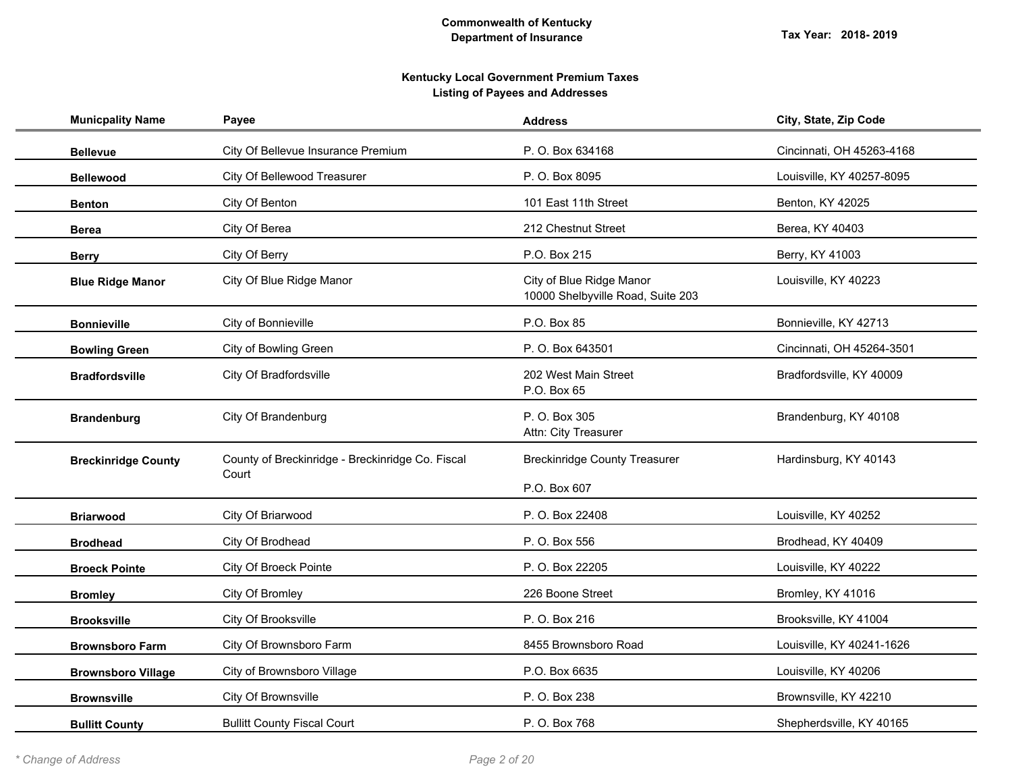| <b>Municpality Name</b>    | Payee                                                     | <b>Address</b>                                                | City, State, Zip Code     |
|----------------------------|-----------------------------------------------------------|---------------------------------------------------------------|---------------------------|
| <b>Bellevue</b>            | City Of Bellevue Insurance Premium                        | P. O. Box 634168                                              | Cincinnati, OH 45263-4168 |
| <b>Bellewood</b>           | City Of Bellewood Treasurer                               | P. O. Box 8095                                                | Louisville, KY 40257-8095 |
| <b>Benton</b>              | City Of Benton                                            | 101 East 11th Street                                          | Benton, KY 42025          |
| <b>Berea</b>               | City Of Berea                                             | 212 Chestnut Street                                           | Berea, KY 40403           |
| <b>Berry</b>               | City Of Berry                                             | P.O. Box 215                                                  | Berry, KY 41003           |
| <b>Blue Ridge Manor</b>    | City Of Blue Ridge Manor                                  | City of Blue Ridge Manor<br>10000 Shelbyville Road, Suite 203 | Louisville, KY 40223      |
| <b>Bonnieville</b>         | City of Bonnieville                                       | P.O. Box 85                                                   | Bonnieville, KY 42713     |
| <b>Bowling Green</b>       | City of Bowling Green                                     | P. O. Box 643501                                              | Cincinnati, OH 45264-3501 |
| <b>Bradfordsville</b>      | City Of Bradfordsville                                    | 202 West Main Street<br>P.O. Box 65                           | Bradfordsville, KY 40009  |
| <b>Brandenburg</b>         | City Of Brandenburg                                       | P. O. Box 305<br>Attn: City Treasurer                         | Brandenburg, KY 40108     |
| <b>Breckinridge County</b> | County of Breckinridge - Breckinridge Co. Fiscal<br>Court | <b>Breckinridge County Treasurer</b><br>P.O. Box 607          | Hardinsburg, KY 40143     |
| <b>Briarwood</b>           | City Of Briarwood                                         | P. O. Box 22408                                               | Louisville, KY 40252      |
| <b>Brodhead</b>            | City Of Brodhead                                          | P. O. Box 556                                                 | Brodhead, KY 40409        |
| <b>Broeck Pointe</b>       | <b>City Of Broeck Pointe</b>                              | P. O. Box 22205                                               | Louisville, KY 40222      |
| <b>Bromley</b>             | City Of Bromley                                           | 226 Boone Street                                              | Bromley, KY 41016         |
| <b>Brooksville</b>         | City Of Brooksville                                       | P. O. Box 216                                                 | Brooksville, KY 41004     |
| <b>Brownsboro Farm</b>     | City Of Brownsboro Farm                                   | 8455 Brownsboro Road                                          | Louisville, KY 40241-1626 |
| <b>Brownsboro Village</b>  | City of Brownsboro Village                                | P.O. Box 6635                                                 | Louisville, KY 40206      |
| <b>Brownsville</b>         | City Of Brownsville                                       | P. O. Box 238                                                 | Brownsville, KY 42210     |
| <b>Bullitt County</b>      | <b>Bullitt County Fiscal Court</b>                        | P. O. Box 768                                                 | Shepherdsville, KY 40165  |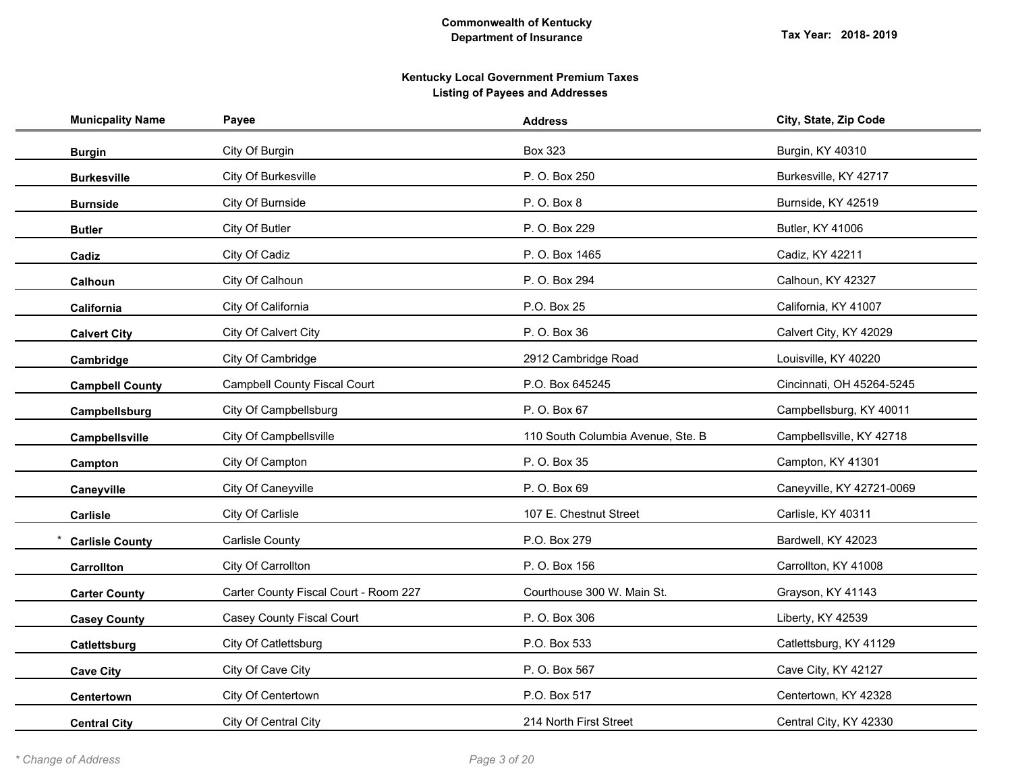| <b>Municpality Name</b> | Payee                                 | <b>Address</b>                    | City, State, Zip Code     |
|-------------------------|---------------------------------------|-----------------------------------|---------------------------|
| <b>Burgin</b>           | City Of Burgin                        | <b>Box 323</b>                    | Burgin, KY 40310          |
| <b>Burkesville</b>      | City Of Burkesville                   | P. O. Box 250                     | Burkesville, KY 42717     |
| <b>Burnside</b>         | City Of Burnside                      | P. O. Box 8                       | Burnside, KY 42519        |
| <b>Butler</b>           | City Of Butler                        | P. O. Box 229                     | Butler, KY 41006          |
| Cadiz                   | City Of Cadiz                         | P. O. Box 1465                    | Cadiz, KY 42211           |
| <b>Calhoun</b>          | City Of Calhoun                       | P. O. Box 294                     | Calhoun, KY 42327         |
| California              | City Of California                    | P.O. Box 25                       | California, KY 41007      |
| <b>Calvert City</b>     | City Of Calvert City                  | P. O. Box 36                      | Calvert City, KY 42029    |
| Cambridge               | City Of Cambridge                     | 2912 Cambridge Road               | Louisville, KY 40220      |
| <b>Campbell County</b>  | <b>Campbell County Fiscal Court</b>   | P.O. Box 645245                   | Cincinnati, OH 45264-5245 |
| Campbellsburg           | City Of Campbellsburg                 | P. O. Box 67                      | Campbellsburg, KY 40011   |
| Campbellsville          | City Of Campbellsville                | 110 South Columbia Avenue, Ste. B | Campbellsville, KY 42718  |
| Campton                 | City Of Campton                       | P. O. Box 35                      | Campton, KY 41301         |
| Caneyville              | City Of Caneyville                    | P. O. Box 69                      | Caneyville, KY 42721-0069 |
| Carlisle                | City Of Carlisle                      | 107 E. Chestnut Street            | Carlisle, KY 40311        |
| <b>Carlisle County</b>  | Carlisle County                       | P.O. Box 279                      | Bardwell, KY 42023        |
| <b>Carrollton</b>       | City Of Carrollton                    | P. O. Box 156                     | Carrollton, KY 41008      |
| <b>Carter County</b>    | Carter County Fiscal Court - Room 227 | Courthouse 300 W. Main St.        | Grayson, KY 41143         |
| <b>Casey County</b>     | Casey County Fiscal Court             | P. O. Box 306                     | Liberty, KY 42539         |
| Catlettsburg            | City Of Catlettsburg                  | P.O. Box 533                      | Catlettsburg, KY 41129    |
| <b>Cave City</b>        | City Of Cave City                     | P. O. Box 567                     | Cave City, KY 42127       |
| Centertown              | City Of Centertown                    | P.O. Box 517                      | Centertown, KY 42328      |
| <b>Central City</b>     | City Of Central City                  | 214 North First Street            | Central City, KY 42330    |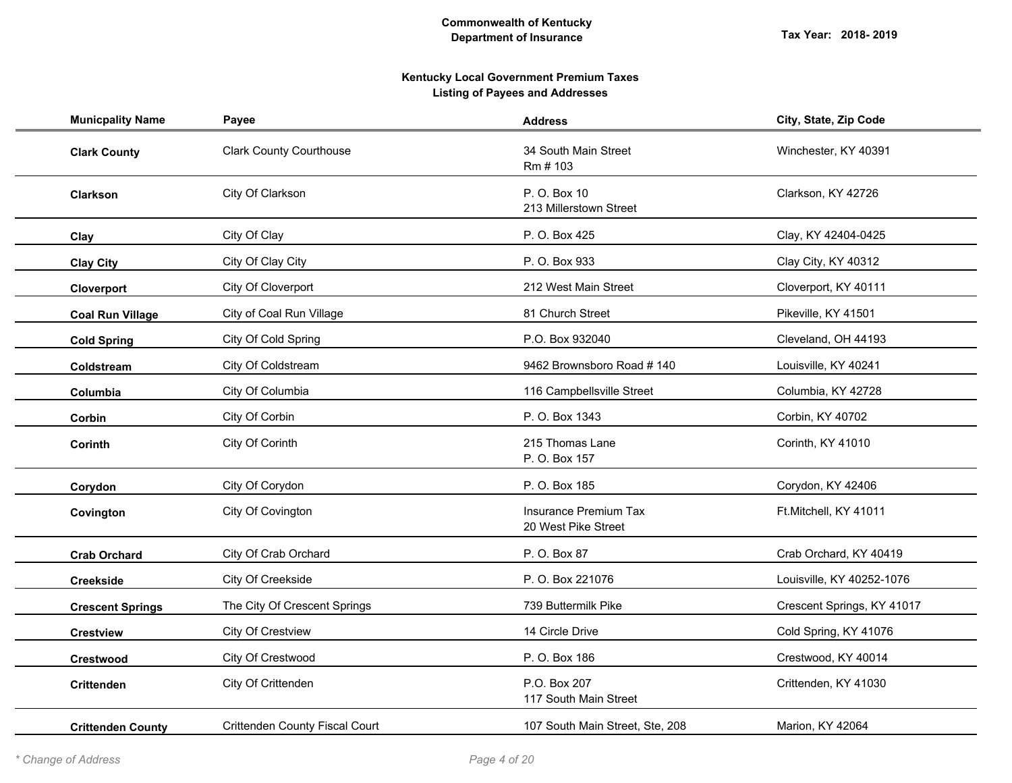| <b>Municpality Name</b>  | Payee                                 | <b>Address</b>                               | City, State, Zip Code      |
|--------------------------|---------------------------------------|----------------------------------------------|----------------------------|
| <b>Clark County</b>      | <b>Clark County Courthouse</b>        | 34 South Main Street<br>Rm # 103             | Winchester, KY 40391       |
| <b>Clarkson</b>          | City Of Clarkson                      | P. O. Box 10<br>213 Millerstown Street       | Clarkson, KY 42726         |
| Clay                     | City Of Clay                          | P. O. Box 425                                | Clay, KY 42404-0425        |
| <b>Clay City</b>         | City Of Clay City                     | P. O. Box 933                                | Clay City, KY 40312        |
| Cloverport               | City Of Cloverport                    | 212 West Main Street                         | Cloverport, KY 40111       |
| <b>Coal Run Village</b>  | City of Coal Run Village              | 81 Church Street                             | Pikeville, KY 41501        |
| <b>Cold Spring</b>       | City Of Cold Spring                   | P.O. Box 932040                              | Cleveland, OH 44193        |
| Coldstream               | City Of Coldstream                    | 9462 Brownsboro Road #140                    | Louisville, KY 40241       |
| Columbia                 | City Of Columbia                      | 116 Campbellsville Street                    | Columbia, KY 42728         |
| Corbin                   | City Of Corbin                        | P. O. Box 1343                               | Corbin, KY 40702           |
| <b>Corinth</b>           | City Of Corinth                       | 215 Thomas Lane<br>P. O. Box 157             | Corinth, KY 41010          |
| Corydon                  | City Of Corydon                       | P. O. Box 185                                | Corydon, KY 42406          |
| Covington                | City Of Covington                     | Insurance Premium Tax<br>20 West Pike Street | Ft.Mitchell, KY 41011      |
| <b>Crab Orchard</b>      | City Of Crab Orchard                  | P. O. Box 87                                 | Crab Orchard, KY 40419     |
| <b>Creekside</b>         | City Of Creekside                     | P. O. Box 221076                             | Louisville, KY 40252-1076  |
| <b>Crescent Springs</b>  | The City Of Crescent Springs          | 739 Buttermilk Pike                          | Crescent Springs, KY 41017 |
| <b>Crestview</b>         | City Of Crestview                     | 14 Circle Drive                              | Cold Spring, KY 41076      |
| Crestwood                | City Of Crestwood                     | P. O. Box 186                                | Crestwood, KY 40014        |
| <b>Crittenden</b>        | City Of Crittenden                    | P.O. Box 207<br>117 South Main Street        | Crittenden, KY 41030       |
| <b>Crittenden County</b> | <b>Crittenden County Fiscal Court</b> | 107 South Main Street, Ste, 208              | Marion, KY 42064           |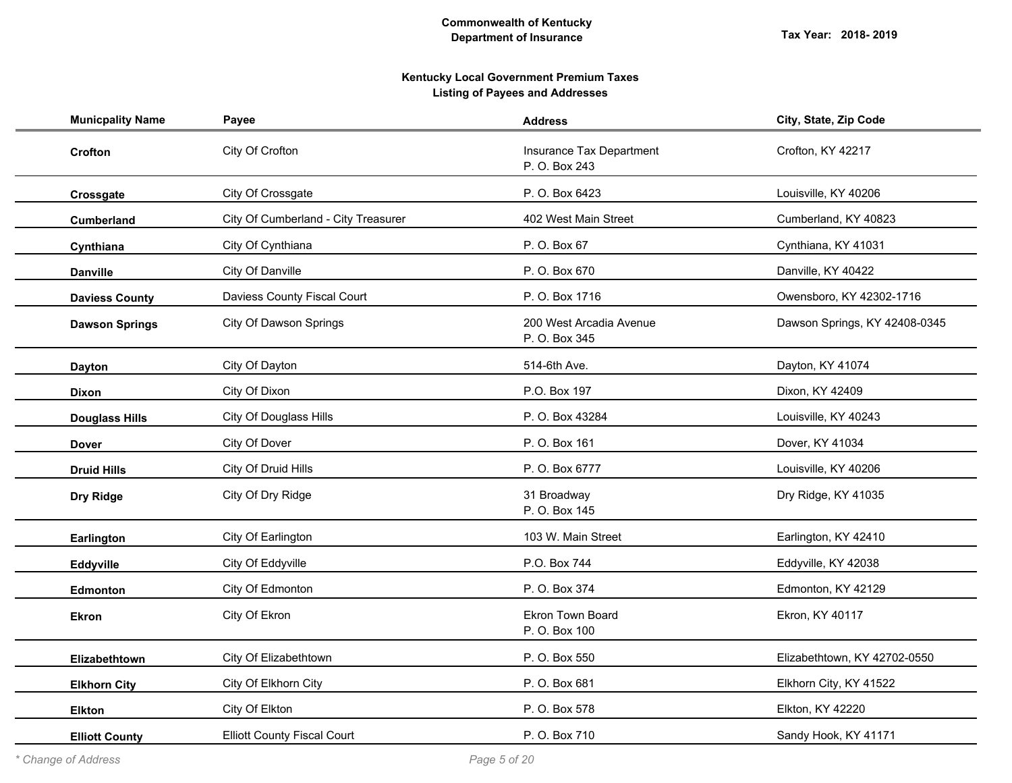| <b>Municpality Name</b> | Payee                               | <b>Address</b>                            | City, State, Zip Code         |
|-------------------------|-------------------------------------|-------------------------------------------|-------------------------------|
| Crofton                 | City Of Crofton                     | Insurance Tax Department<br>P. O. Box 243 | Crofton, KY 42217             |
| Crossgate               | City Of Crossgate                   | P. O. Box 6423                            | Louisville, KY 40206          |
| Cumberland              | City Of Cumberland - City Treasurer | 402 West Main Street                      | Cumberland, KY 40823          |
| Cynthiana               | City Of Cynthiana                   | P. O. Box 67                              | Cynthiana, KY 41031           |
| <b>Danville</b>         | City Of Danville                    | P. O. Box 670                             | Danville, KY 40422            |
| <b>Daviess County</b>   | Daviess County Fiscal Court         | P. O. Box 1716                            | Owensboro, KY 42302-1716      |
| <b>Dawson Springs</b>   | <b>City Of Dawson Springs</b>       | 200 West Arcadia Avenue<br>P. O. Box 345  | Dawson Springs, KY 42408-0345 |
| <b>Dayton</b>           | City Of Dayton                      | 514-6th Ave.                              | Dayton, KY 41074              |
| <b>Dixon</b>            | City Of Dixon                       | P.O. Box 197                              | Dixon, KY 42409               |
| <b>Douglass Hills</b>   | <b>City Of Douglass Hills</b>       | P. O. Box 43284                           | Louisville, KY 40243          |
| Dover                   | City Of Dover                       | P. O. Box 161                             | Dover, KY 41034               |
| <b>Druid Hills</b>      | City Of Druid Hills                 | P. O. Box 6777                            | Louisville, KY 40206          |
| Dry Ridge               | City Of Dry Ridge                   | 31 Broadway<br>P. O. Box 145              | Dry Ridge, KY 41035           |
| Earlington              | City Of Earlington                  | 103 W. Main Street                        | Earlington, KY 42410          |
| Eddyville               | City Of Eddyville                   | P.O. Box 744                              | Eddyville, KY 42038           |
| <b>Edmonton</b>         | City Of Edmonton                    | P. O. Box 374                             | Edmonton, KY 42129            |
| <b>Ekron</b>            | City Of Ekron                       | Ekron Town Board<br>P. O. Box 100         | Ekron, KY 40117               |
| Elizabethtown           | City Of Elizabethtown               | P. O. Box 550                             | Elizabethtown, KY 42702-0550  |
| <b>Elkhorn City</b>     | City Of Elkhorn City                | P. O. Box 681                             | Elkhorn City, KY 41522        |
| <b>Elkton</b>           | City Of Elkton                      | P. O. Box 578                             | Elkton, KY 42220              |
| <b>Elliott County</b>   | <b>Elliott County Fiscal Court</b>  | P. O. Box 710                             | Sandy Hook, KY 41171          |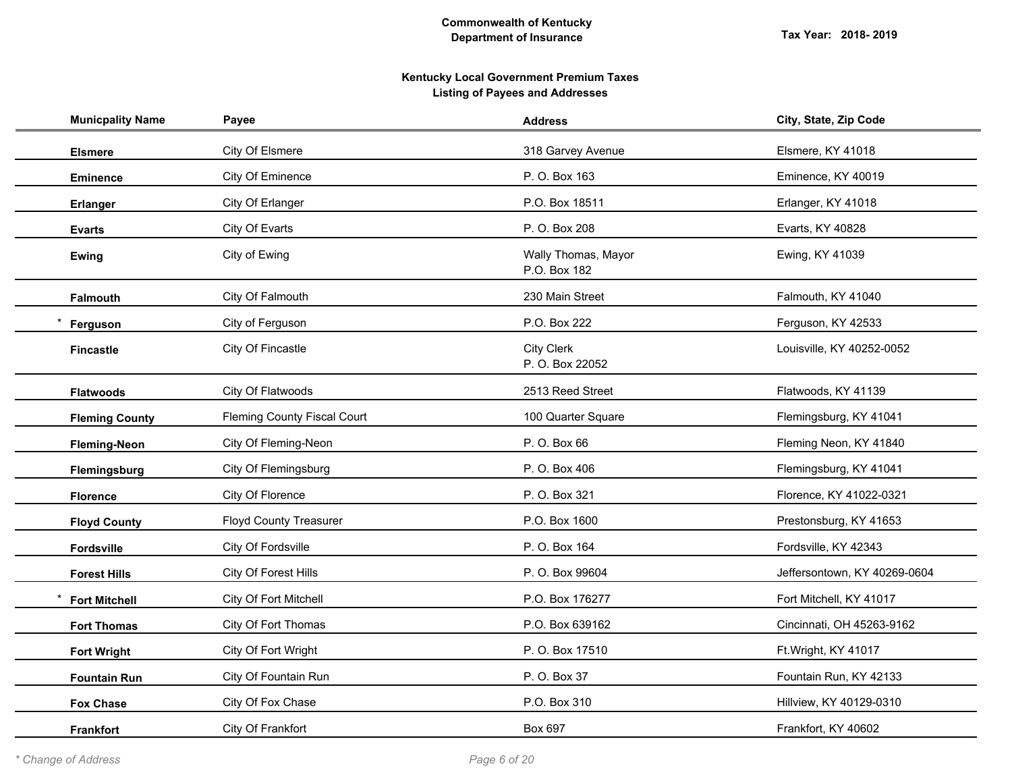| <b>Municpality Name</b> | Payee                              | <b>Address</b>                       | City, State, Zip Code        |
|-------------------------|------------------------------------|--------------------------------------|------------------------------|
| <b>Elsmere</b>          | City Of Elsmere                    | 318 Garvey Avenue                    | Elsmere, KY 41018            |
| <b>Eminence</b>         | City Of Eminence                   | P. O. Box 163                        | Eminence, KY 40019           |
| <b>Erlanger</b>         | City Of Erlanger                   | P.O. Box 18511                       | Erlanger, KY 41018           |
| <b>Evarts</b>           | City Of Evarts                     | P. O. Box 208                        | Evarts, KY 40828             |
| Ewing                   | City of Ewing                      | Wally Thomas, Mayor<br>P.O. Box 182  | Ewing, KY 41039              |
| <b>Falmouth</b>         | City Of Falmouth                   | 230 Main Street                      | Falmouth, KY 41040           |
| Ferguson                | City of Ferguson                   | P.O. Box 222                         | Ferguson, KY 42533           |
| <b>Fincastle</b>        | City Of Fincastle                  | <b>City Clerk</b><br>P. O. Box 22052 | Louisville, KY 40252-0052    |
| <b>Flatwoods</b>        | City Of Flatwoods                  | 2513 Reed Street                     | Flatwoods, KY 41139          |
| <b>Fleming County</b>   | <b>Fleming County Fiscal Court</b> | 100 Quarter Square                   | Flemingsburg, KY 41041       |
| <b>Fleming-Neon</b>     | City Of Fleming-Neon               | P. O. Box 66                         | Fleming Neon, KY 41840       |
| Flemingsburg            | City Of Flemingsburg               | P. O. Box 406                        | Flemingsburg, KY 41041       |
| <b>Florence</b>         | City Of Florence                   | P. O. Box 321                        | Florence, KY 41022-0321      |
| <b>Floyd County</b>     | <b>Floyd County Treasurer</b>      | P.O. Box 1600                        | Prestonsburg, KY 41653       |
| <b>Fordsville</b>       | City Of Fordsville                 | P. O. Box 164                        | Fordsville, KY 42343         |
| <b>Forest Hills</b>     | City Of Forest Hills               | P. O. Box 99604                      | Jeffersontown, KY 40269-0604 |
| <b>Fort Mitchell</b>    | City Of Fort Mitchell              | P.O. Box 176277                      | Fort Mitchell, KY 41017      |
| <b>Fort Thomas</b>      | City Of Fort Thomas                | P.O. Box 639162                      | Cincinnati, OH 45263-9162    |
| <b>Fort Wright</b>      | City Of Fort Wright                | P. O. Box 17510                      | Ft.Wright, KY 41017          |
| <b>Fountain Run</b>     | City Of Fountain Run               | P. O. Box 37                         | Fountain Run, KY 42133       |
| <b>Fox Chase</b>        | City Of Fox Chase                  | P.O. Box 310                         | Hillview, KY 40129-0310      |
| <b>Frankfort</b>        | City Of Frankfort                  | Box 697                              | Frankfort, KY 40602          |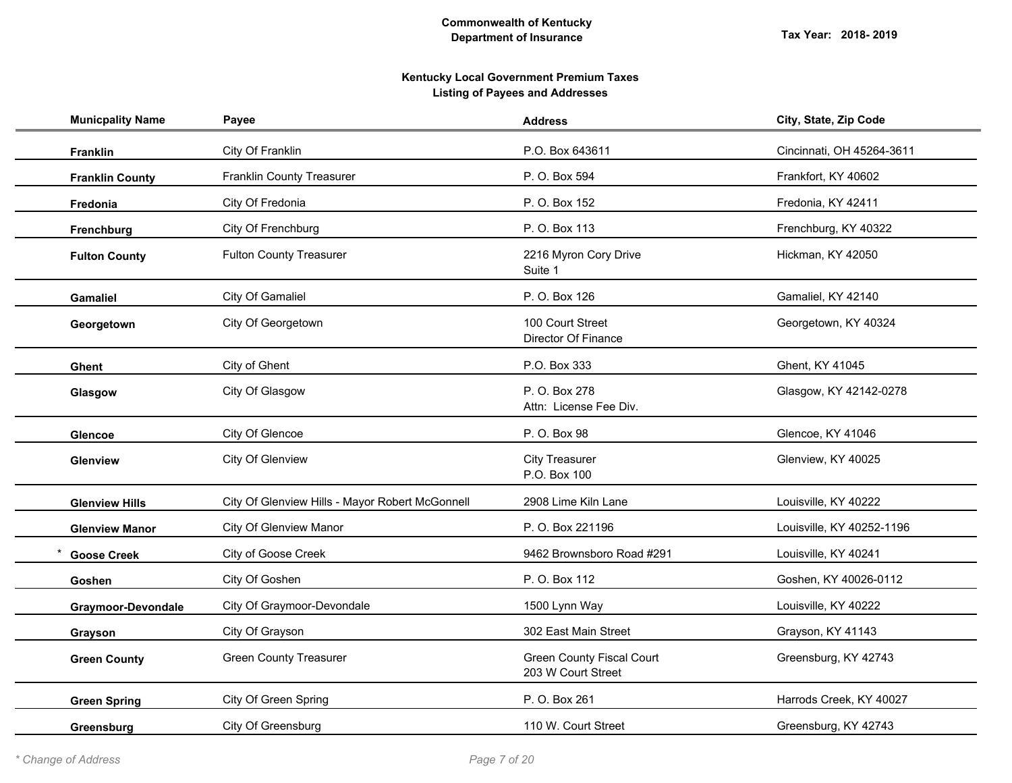| <b>Municpality Name</b> | Payee                                           | <b>Address</b>                                         | City, State, Zip Code     |
|-------------------------|-------------------------------------------------|--------------------------------------------------------|---------------------------|
| Franklin                | City Of Franklin                                | P.O. Box 643611                                        | Cincinnati, OH 45264-3611 |
| <b>Franklin County</b>  | <b>Franklin County Treasurer</b>                | P. O. Box 594                                          | Frankfort, KY 40602       |
| Fredonia                | City Of Fredonia                                | P. O. Box 152                                          | Fredonia, KY 42411        |
| Frenchburg              | City Of Frenchburg                              | P. O. Box 113                                          | Frenchburg, KY 40322      |
| <b>Fulton County</b>    | <b>Fulton County Treasurer</b>                  | 2216 Myron Cory Drive<br>Suite 1                       | Hickman, KY 42050         |
| <b>Gamaliel</b>         | City Of Gamaliel                                | P. O. Box 126                                          | Gamaliel, KY 42140        |
| Georgetown              | City Of Georgetown                              | 100 Court Street<br>Director Of Finance                | Georgetown, KY 40324      |
| <b>Ghent</b>            | City of Ghent                                   | P.O. Box 333                                           | Ghent, KY 41045           |
| Glasgow                 | City Of Glasgow                                 | P. O. Box 278<br>Attn: License Fee Div.                | Glasgow, KY 42142-0278    |
| <b>Glencoe</b>          | City Of Glencoe                                 | P. O. Box 98                                           | Glencoe, KY 41046         |
| Glenview                | City Of Glenview                                | <b>City Treasurer</b><br>P.O. Box 100                  | Glenview, KY 40025        |
| <b>Glenview Hills</b>   | City Of Glenview Hills - Mayor Robert McGonnell | 2908 Lime Kiln Lane                                    | Louisville, KY 40222      |
| <b>Glenview Manor</b>   | <b>City Of Glenview Manor</b>                   | P. O. Box 221196                                       | Louisville, KY 40252-1196 |
| <b>Goose Creek</b>      | City of Goose Creek                             | 9462 Brownsboro Road #291                              | Louisville, KY 40241      |
| Goshen                  | City Of Goshen                                  | P. O. Box 112                                          | Goshen, KY 40026-0112     |
| Graymoor-Devondale      | City Of Graymoor-Devondale                      | 1500 Lynn Way                                          | Louisville, KY 40222      |
| Grayson                 | City Of Grayson                                 | 302 East Main Street                                   | Grayson, KY 41143         |
| <b>Green County</b>     | <b>Green County Treasurer</b>                   | <b>Green County Fiscal Court</b><br>203 W Court Street | Greensburg, KY 42743      |
| <b>Green Spring</b>     | City Of Green Spring                            | P. O. Box 261                                          | Harrods Creek, KY 40027   |
| Greensburg              | City Of Greensburg                              | 110 W. Court Street                                    | Greensburg, KY 42743      |
|                         |                                                 |                                                        |                           |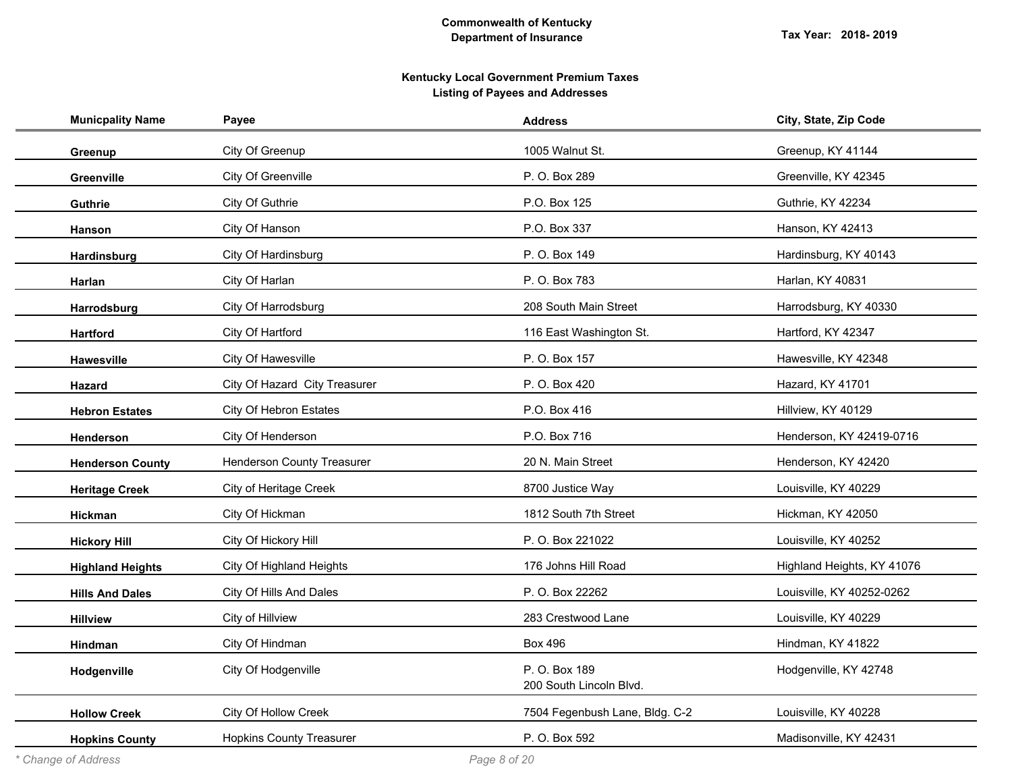| <b>Municpality Name</b> | Payee                             | <b>Address</b>                           | City, State, Zip Code      |
|-------------------------|-----------------------------------|------------------------------------------|----------------------------|
| Greenup                 | City Of Greenup                   | 1005 Walnut St.                          | Greenup, KY 41144          |
| Greenville              | City Of Greenville                | P. O. Box 289                            | Greenville, KY 42345       |
| Guthrie                 | City Of Guthrie                   | P.O. Box 125                             | Guthrie, KY 42234          |
| <b>Hanson</b>           | City Of Hanson                    | P.O. Box 337                             | Hanson, KY 42413           |
| Hardinsburg             | City Of Hardinsburg               | P. O. Box 149                            | Hardinsburg, KY 40143      |
| Harlan                  | City Of Harlan                    | P. O. Box 783                            | Harlan, KY 40831           |
| Harrodsburg             | City Of Harrodsburg               | 208 South Main Street                    | Harrodsburg, KY 40330      |
| <b>Hartford</b>         | City Of Hartford                  | 116 East Washington St.                  | Hartford, KY 42347         |
| Hawesville              | City Of Hawesville                | P. O. Box 157                            | Hawesville, KY 42348       |
| <b>Hazard</b>           | City Of Hazard City Treasurer     | P. O. Box 420                            | Hazard, KY 41701           |
| <b>Hebron Estates</b>   | City Of Hebron Estates            | P.O. Box 416                             | Hillview, KY 40129         |
| Henderson               | City Of Henderson                 | P.O. Box 716                             | Henderson, KY 42419-0716   |
| <b>Henderson County</b> | <b>Henderson County Treasurer</b> | 20 N. Main Street                        | Henderson, KY 42420        |
| <b>Heritage Creek</b>   | City of Heritage Creek            | 8700 Justice Way                         | Louisville, KY 40229       |
| Hickman                 | City Of Hickman                   | 1812 South 7th Street                    | Hickman, KY 42050          |
| <b>Hickory Hill</b>     | City Of Hickory Hill              | P. O. Box 221022                         | Louisville, KY 40252       |
| <b>Highland Heights</b> | City Of Highland Heights          | 176 Johns Hill Road                      | Highland Heights, KY 41076 |
| <b>Hills And Dales</b>  | City Of Hills And Dales           | P. O. Box 22262                          | Louisville, KY 40252-0262  |
| <b>Hillview</b>         | City of Hillview                  | 283 Crestwood Lane                       | Louisville, KY 40229       |
| Hindman                 | City Of Hindman                   | <b>Box 496</b>                           | Hindman, KY 41822          |
| Hodgenville             | City Of Hodgenville               | P. O. Box 189<br>200 South Lincoln Blvd. | Hodgenville, KY 42748      |
| <b>Hollow Creek</b>     | City Of Hollow Creek              | 7504 Fegenbush Lane, Bldg. C-2           | Louisville, KY 40228       |
| <b>Hopkins County</b>   | <b>Hopkins County Treasurer</b>   | P. O. Box 592                            | Madisonville, KY 42431     |
|                         |                                   |                                          |                            |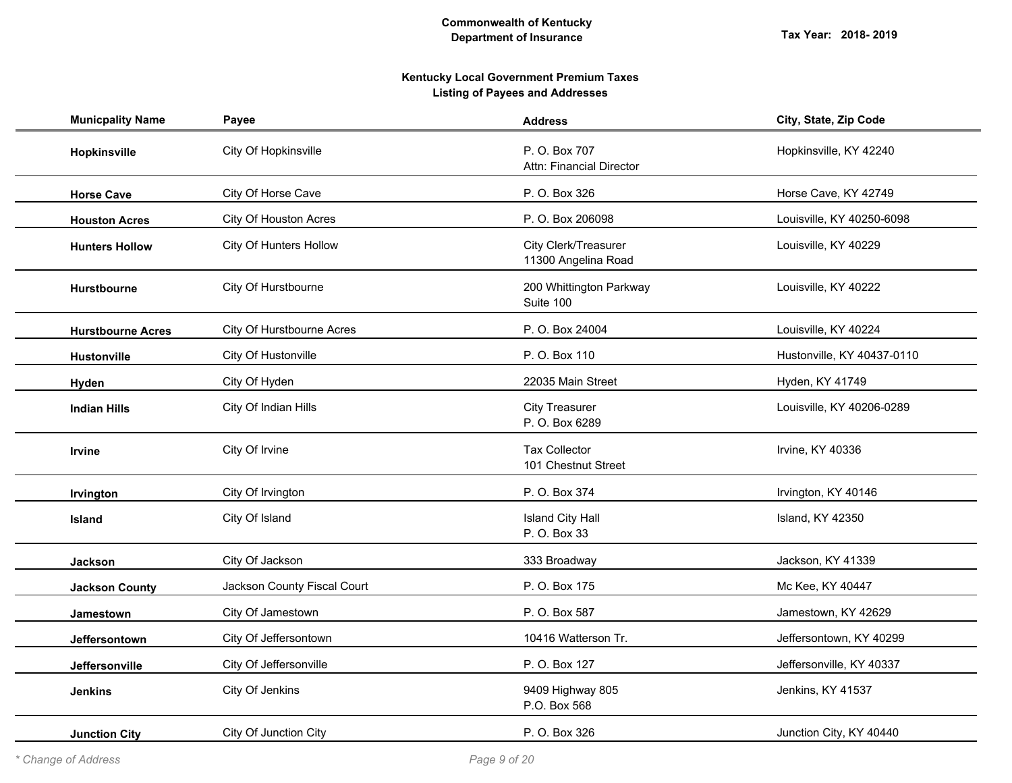| <b>Municpality Name</b>  | Payee                       | <b>Address</b>                                   | City, State, Zip Code      |
|--------------------------|-----------------------------|--------------------------------------------------|----------------------------|
| <b>Hopkinsville</b>      | City Of Hopkinsville        | P. O. Box 707<br><b>Attn: Financial Director</b> | Hopkinsville, KY 42240     |
| <b>Horse Cave</b>        | City Of Horse Cave          | P. O. Box 326                                    | Horse Cave, KY 42749       |
| <b>Houston Acres</b>     | City Of Houston Acres       | P. O. Box 206098                                 | Louisville, KY 40250-6098  |
| <b>Hunters Hollow</b>    | City Of Hunters Hollow      | City Clerk/Treasurer<br>11300 Angelina Road      | Louisville, KY 40229       |
| <b>Hurstbourne</b>       | City Of Hurstbourne         | 200 Whittington Parkway<br>Suite 100             | Louisville, KY 40222       |
| <b>Hurstbourne Acres</b> | City Of Hurstbourne Acres   | P. O. Box 24004                                  | Louisville, KY 40224       |
| <b>Hustonville</b>       | City Of Hustonville         | P. O. Box 110                                    | Hustonville, KY 40437-0110 |
| Hyden                    | City Of Hyden               | 22035 Main Street                                | Hyden, KY 41749            |
| <b>Indian Hills</b>      | City Of Indian Hills        | <b>City Treasurer</b><br>P. O. Box 6289          | Louisville, KY 40206-0289  |
| <b>Irvine</b>            | City Of Irvine              | <b>Tax Collector</b><br>101 Chestnut Street      | Irvine, KY 40336           |
| Irvington                | City Of Irvington           | P. O. Box 374                                    | Irvington, KY 40146        |
| <b>Island</b>            | City Of Island              | <b>Island City Hall</b><br>P. O. Box 33          | Island, KY 42350           |
| <b>Jackson</b>           | City Of Jackson             | 333 Broadway                                     | Jackson, KY 41339          |
| <b>Jackson County</b>    | Jackson County Fiscal Court | P. O. Box 175                                    | Mc Kee, KY 40447           |
| Jamestown                | City Of Jamestown           | P. O. Box 587                                    | Jamestown, KY 42629        |
| Jeffersontown            | City Of Jeffersontown       | 10416 Watterson Tr.                              | Jeffersontown, KY 40299    |
| Jeffersonville           | City Of Jeffersonville      | P. O. Box 127                                    | Jeffersonville, KY 40337   |
| <b>Jenkins</b>           | City Of Jenkins             | 9409 Highway 805<br>P.O. Box 568                 | Jenkins, KY 41537          |
| <b>Junction City</b>     | City Of Junction City       | P. O. Box 326                                    | Junction City, KY 40440    |
|                          |                             |                                                  |                            |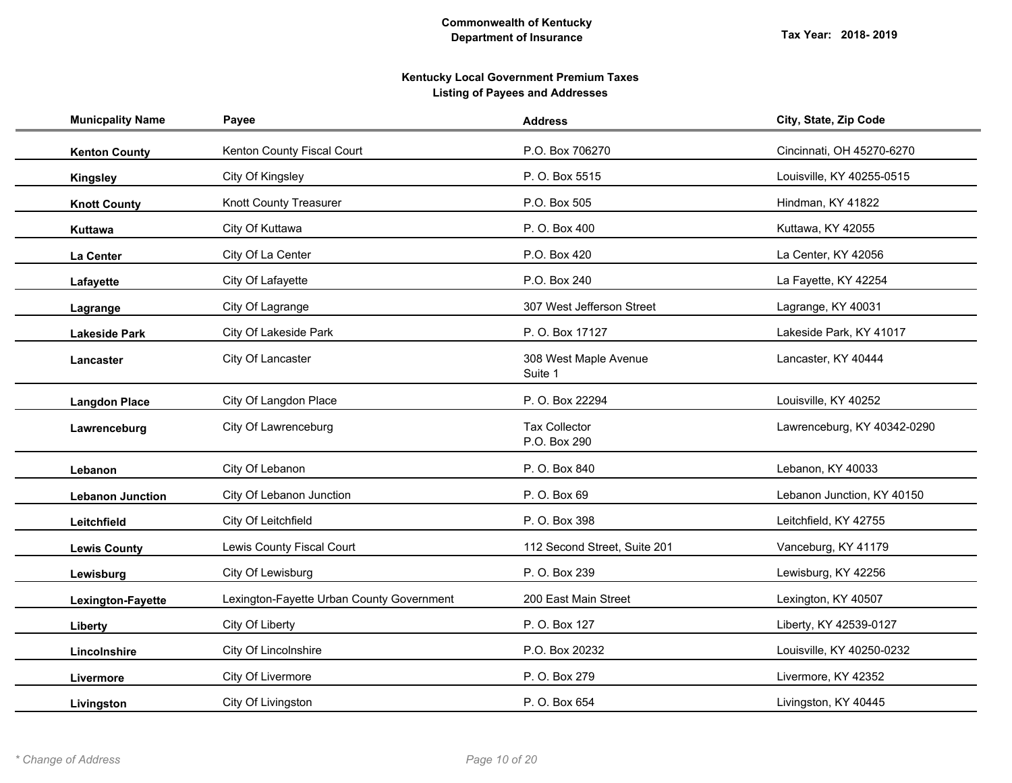| <b>Municpality Name</b> | Payee                                     | <b>Address</b>                       | City, State, Zip Code       |
|-------------------------|-------------------------------------------|--------------------------------------|-----------------------------|
| <b>Kenton County</b>    | Kenton County Fiscal Court                | P.O. Box 706270                      | Cincinnati, OH 45270-6270   |
| <b>Kingsley</b>         | City Of Kingsley                          | P. O. Box 5515                       | Louisville, KY 40255-0515   |
| <b>Knott County</b>     | Knott County Treasurer                    | P.O. Box 505                         | Hindman, KY 41822           |
| Kuttawa                 | City Of Kuttawa                           | P. O. Box 400                        | Kuttawa, KY 42055           |
| La Center               | City Of La Center                         | P.O. Box 420                         | La Center, KY 42056         |
| Lafayette               | City Of Lafayette                         | P.O. Box 240                         | La Fayette, KY 42254        |
| Lagrange                | City Of Lagrange                          | 307 West Jefferson Street            | Lagrange, KY 40031          |
| <b>Lakeside Park</b>    | City Of Lakeside Park                     | P. O. Box 17127                      | Lakeside Park, KY 41017     |
| Lancaster               | City Of Lancaster                         | 308 West Maple Avenue<br>Suite 1     | Lancaster, KY 40444         |
| <b>Langdon Place</b>    | City Of Langdon Place                     | P. O. Box 22294                      | Louisville, KY 40252        |
| Lawrenceburg            | City Of Lawrenceburg                      | <b>Tax Collector</b><br>P.O. Box 290 | Lawrenceburg, KY 40342-0290 |
| Lebanon                 | City Of Lebanon                           | P. O. Box 840                        | Lebanon, KY 40033           |
| <b>Lebanon Junction</b> | City Of Lebanon Junction                  | P. O. Box 69                         | Lebanon Junction, KY 40150  |
| Leitchfield             | City Of Leitchfield                       | P. O. Box 398                        | Leitchfield, KY 42755       |
| <b>Lewis County</b>     | Lewis County Fiscal Court                 | 112 Second Street, Suite 201         | Vanceburg, KY 41179         |
| Lewisburg               | City Of Lewisburg                         | P. O. Box 239                        | Lewisburg, KY 42256         |
| Lexington-Fayette       | Lexington-Fayette Urban County Government | 200 East Main Street                 | Lexington, KY 40507         |
| Liberty                 | City Of Liberty                           | P. O. Box 127                        | Liberty, KY 42539-0127      |
| Lincolnshire            | City Of Lincolnshire                      | P.O. Box 20232                       | Louisville, KY 40250-0232   |
| Livermore               | City Of Livermore                         | P. O. Box 279                        | Livermore, KY 42352         |
| Livingston              | City Of Livingston                        | P. O. Box 654                        | Livingston, KY 40445        |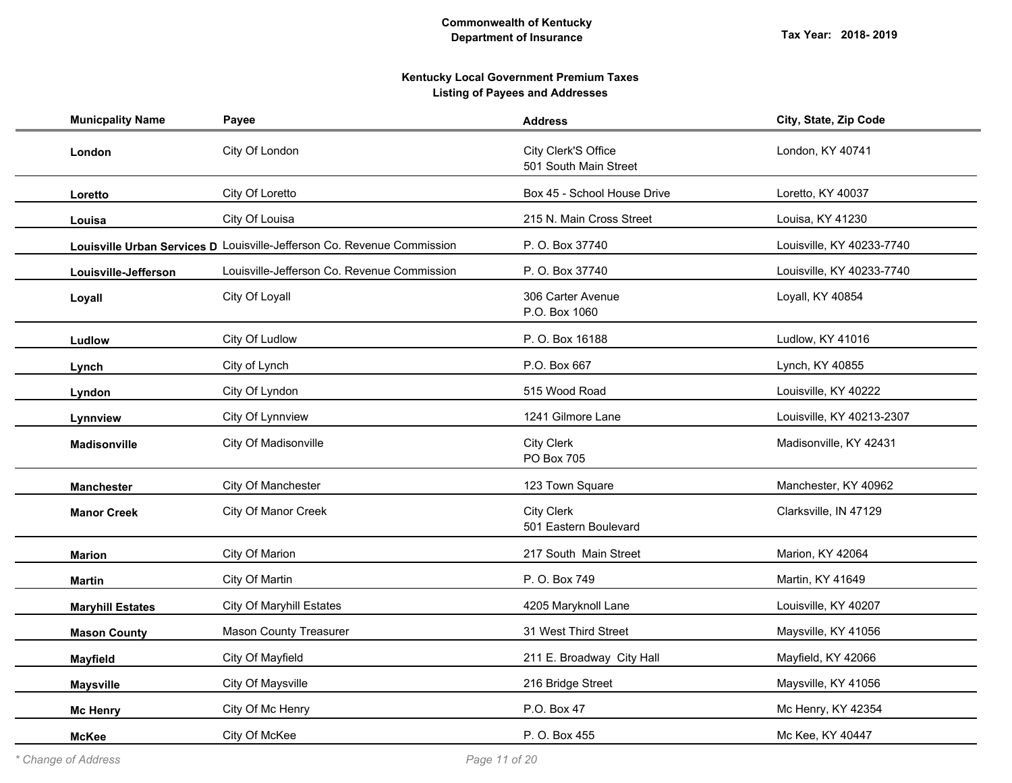| <b>Municpality Name</b> | Payee                                                                   | <b>Address</b>                               | City, State, Zip Code     |
|-------------------------|-------------------------------------------------------------------------|----------------------------------------------|---------------------------|
| London                  | City Of London                                                          | City Clerk'S Office<br>501 South Main Street | London, KY 40741          |
| Loretto                 | City Of Loretto                                                         | Box 45 - School House Drive                  | Loretto, KY 40037         |
| Louisa                  | City Of Louisa                                                          | 215 N. Main Cross Street                     | Louisa, KY 41230          |
|                         | Louisville Urban Services D Louisville-Jefferson Co. Revenue Commission | P. O. Box 37740                              | Louisville, KY 40233-7740 |
| Louisville-Jefferson    | Louisville-Jefferson Co. Revenue Commission                             | P. O. Box 37740                              | Louisville, KY 40233-7740 |
| Loyall                  | City Of Loyall                                                          | 306 Carter Avenue<br>P.O. Box 1060           | Loyall, KY 40854          |
| Ludlow                  | City Of Ludlow                                                          | P. O. Box 16188                              | Ludlow, KY 41016          |
| Lynch                   | City of Lynch                                                           | P.O. Box 667                                 | Lynch, KY 40855           |
| Lyndon                  | City Of Lyndon                                                          | 515 Wood Road                                | Louisville, KY 40222      |
| Lynnview                | City Of Lynnview                                                        | 1241 Gilmore Lane                            | Louisville, KY 40213-2307 |
| Madisonville            | City Of Madisonville                                                    | City Clerk<br>PO Box 705                     | Madisonville, KY 42431    |
| <b>Manchester</b>       | City Of Manchester                                                      | 123 Town Square                              | Manchester, KY 40962      |
| <b>Manor Creek</b>      | City Of Manor Creek                                                     | City Clerk<br>501 Eastern Boulevard          | Clarksville, IN 47129     |
| <b>Marion</b>           | City Of Marion                                                          | 217 South Main Street                        | Marion, KY 42064          |
| <b>Martin</b>           | City Of Martin                                                          | P. O. Box 749                                | Martin, KY 41649          |
| <b>Maryhill Estates</b> | <b>City Of Maryhill Estates</b>                                         | 4205 Maryknoll Lane                          | Louisville, KY 40207      |
| <b>Mason County</b>     | <b>Mason County Treasurer</b>                                           | 31 West Third Street                         | Maysville, KY 41056       |
| <b>Mayfield</b>         | City Of Mayfield                                                        | 211 E. Broadway City Hall                    | Mayfield, KY 42066        |
| <b>Maysville</b>        | City Of Maysville                                                       | 216 Bridge Street                            | Maysville, KY 41056       |
| <b>Mc Henry</b>         | City Of Mc Henry                                                        | P.O. Box 47                                  | Mc Henry, KY 42354        |
| <b>McKee</b>            | City Of McKee                                                           | P. O. Box 455                                | Mc Kee, KY 40447          |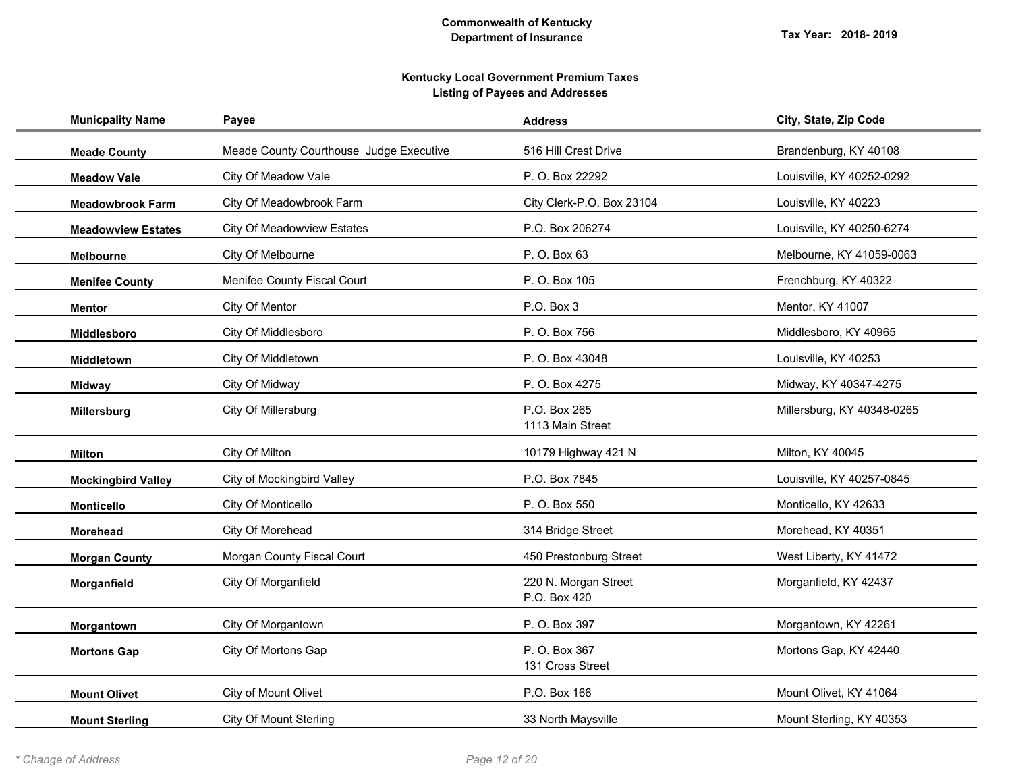| <b>Municpality Name</b>   | Payee                                   | <b>Address</b>                       | City, State, Zip Code      |
|---------------------------|-----------------------------------------|--------------------------------------|----------------------------|
| <b>Meade County</b>       | Meade County Courthouse Judge Executive | 516 Hill Crest Drive                 | Brandenburg, KY 40108      |
| <b>Meadow Vale</b>        | City Of Meadow Vale                     | P. O. Box 22292                      | Louisville, KY 40252-0292  |
| <b>Meadowbrook Farm</b>   | City Of Meadowbrook Farm                | City Clerk-P.O. Box 23104            | Louisville, KY 40223       |
| <b>Meadowview Estates</b> | City Of Meadowview Estates              | P.O. Box 206274                      | Louisville, KY 40250-6274  |
| <b>Melbourne</b>          | City Of Melbourne                       | P. O. Box 63                         | Melbourne, KY 41059-0063   |
| <b>Menifee County</b>     | Menifee County Fiscal Court             | P. O. Box 105                        | Frenchburg, KY 40322       |
| <b>Mentor</b>             | City Of Mentor                          | P.O. Box 3                           | Mentor, KY 41007           |
| Middlesboro               | City Of Middlesboro                     | P. O. Box 756                        | Middlesboro, KY 40965      |
| Middletown                | City Of Middletown                      | P. O. Box 43048                      | Louisville, KY 40253       |
| <b>Midway</b>             | City Of Midway                          | P.O. Box 4275                        | Midway, KY 40347-4275      |
| Millersburg               | City Of Millersburg                     | P.O. Box 265<br>1113 Main Street     | Millersburg, KY 40348-0265 |
| <b>Milton</b>             | City Of Milton                          | 10179 Highway 421 N                  | Milton, KY 40045           |
| <b>Mockingbird Valley</b> | City of Mockingbird Valley              | P.O. Box 7845                        | Louisville, KY 40257-0845  |
| <b>Monticello</b>         | City Of Monticello                      | P. O. Box 550                        | Monticello, KY 42633       |
| <b>Morehead</b>           | City Of Morehead                        | 314 Bridge Street                    | Morehead, KY 40351         |
| <b>Morgan County</b>      | Morgan County Fiscal Court              | 450 Prestonburg Street               | West Liberty, KY 41472     |
| Morganfield               | City Of Morganfield                     | 220 N. Morgan Street<br>P.O. Box 420 | Morganfield, KY 42437      |
| Morgantown                | City Of Morgantown                      | P. O. Box 397                        | Morgantown, KY 42261       |
| <b>Mortons Gap</b>        | City Of Mortons Gap                     | P. O. Box 367<br>131 Cross Street    | Mortons Gap, KY 42440      |
| <b>Mount Olivet</b>       | City of Mount Olivet                    | P.O. Box 166                         | Mount Olivet, KY 41064     |
| <b>Mount Sterling</b>     | <b>City Of Mount Sterling</b>           | 33 North Maysville                   | Mount Sterling, KY 40353   |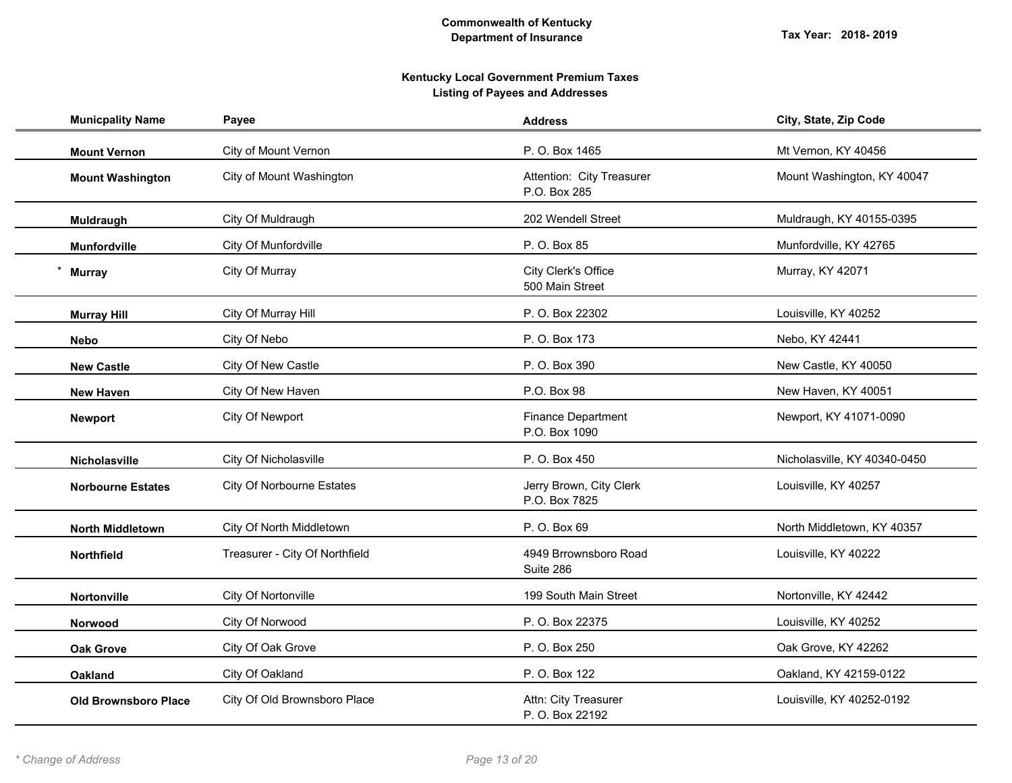| <b>Municpality Name</b>     | Payee                            | <b>Address</b>                            | City, State, Zip Code        |
|-----------------------------|----------------------------------|-------------------------------------------|------------------------------|
| <b>Mount Vernon</b>         | City of Mount Vernon             | P. O. Box 1465                            | Mt Vernon, KY 40456          |
| <b>Mount Washington</b>     | City of Mount Washington         | Attention: City Treasurer<br>P.O. Box 285 | Mount Washington, KY 40047   |
| Muldraugh                   | City Of Muldraugh                | 202 Wendell Street                        | Muldraugh, KY 40155-0395     |
| <b>Munfordville</b>         | City Of Munfordville             | P. O. Box 85                              | Munfordville, KY 42765       |
| <b>Murray</b>               | City Of Murray                   | City Clerk's Office<br>500 Main Street    | Murray, KY 42071             |
| <b>Murray Hill</b>          | City Of Murray Hill              | P. O. Box 22302                           | Louisville, KY 40252         |
| <b>Nebo</b>                 | City Of Nebo                     | P. O. Box 173                             | Nebo, KY 42441               |
| <b>New Castle</b>           | City Of New Castle               | P. O. Box 390                             | New Castle, KY 40050         |
| <b>New Haven</b>            | City Of New Haven                | P.O. Box 98                               | New Haven, KY 40051          |
| <b>Newport</b>              | City Of Newport                  | Finance Department<br>P.O. Box 1090       | Newport, KY 41071-0090       |
| Nicholasville               | City Of Nicholasville            | P. O. Box 450                             | Nicholasville, KY 40340-0450 |
| <b>Norbourne Estates</b>    | <b>City Of Norbourne Estates</b> | Jerry Brown, City Clerk<br>P.O. Box 7825  | Louisville, KY 40257         |
| <b>North Middletown</b>     | City Of North Middletown         | P. O. Box 69                              | North Middletown, KY 40357   |
| Northfield                  | Treasurer - City Of Northfield   | 4949 Brrownsboro Road<br>Suite 286        | Louisville, KY 40222         |
| Nortonville                 | City Of Nortonville              | 199 South Main Street                     | Nortonville, KY 42442        |
| Norwood                     | City Of Norwood                  | P. O. Box 22375                           | Louisville, KY 40252         |
| <b>Oak Grove</b>            | City Of Oak Grove                | P. O. Box 250                             | Oak Grove, KY 42262          |
| <b>Oakland</b>              | City Of Oakland                  | P. O. Box 122                             | Oakland, KY 42159-0122       |
| <b>Old Brownsboro Place</b> | City Of Old Brownsboro Place     | Attn: City Treasurer<br>P. O. Box 22192   | Louisville, KY 40252-0192    |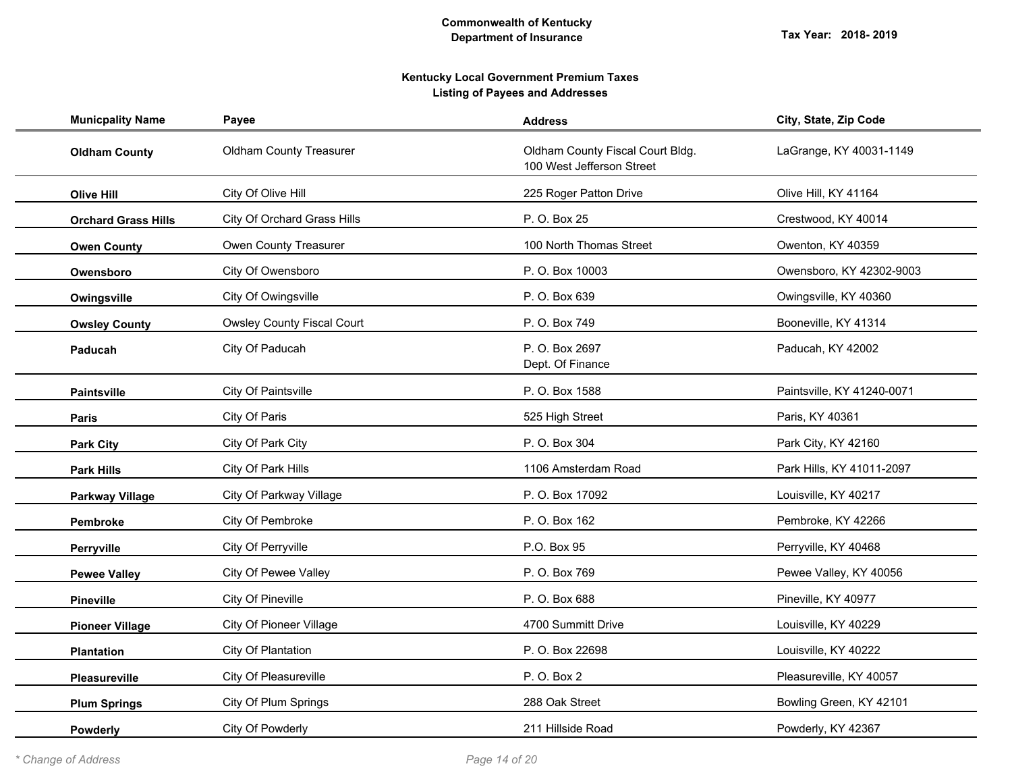| <b>Municpality Name</b>    | Payee                             | <b>Address</b>                                                | City, State, Zip Code      |
|----------------------------|-----------------------------------|---------------------------------------------------------------|----------------------------|
| <b>Oldham County</b>       | <b>Oldham County Treasurer</b>    | Oldham County Fiscal Court Bldg.<br>100 West Jefferson Street | LaGrange, KY 40031-1149    |
| <b>Olive Hill</b>          | City Of Olive Hill                | 225 Roger Patton Drive                                        | Olive Hill, KY 41164       |
| <b>Orchard Grass Hills</b> | City Of Orchard Grass Hills       | P. O. Box 25                                                  | Crestwood, KY 40014        |
| <b>Owen County</b>         | Owen County Treasurer             | 100 North Thomas Street                                       | Owenton, KY 40359          |
| Owensboro                  | City Of Owensboro                 | P. O. Box 10003                                               | Owensboro, KY 42302-9003   |
| Owingsville                | City Of Owingsville               | P. O. Box 639                                                 | Owingsville, KY 40360      |
| <b>Owsley County</b>       | <b>Owsley County Fiscal Court</b> | P. O. Box 749                                                 | Booneville, KY 41314       |
| Paducah                    | City Of Paducah                   | P. O. Box 2697<br>Dept. Of Finance                            | Paducah, KY 42002          |
| <b>Paintsville</b>         | City Of Paintsville               | P. O. Box 1588                                                | Paintsville, KY 41240-0071 |
| <b>Paris</b>               | City Of Paris                     | 525 High Street                                               | Paris, KY 40361            |
| <b>Park City</b>           | City Of Park City                 | P. O. Box 304                                                 | Park City, KY 42160        |
| <b>Park Hills</b>          | City Of Park Hills                | 1106 Amsterdam Road                                           | Park Hills, KY 41011-2097  |
| <b>Parkway Village</b>     | City Of Parkway Village           | P. O. Box 17092                                               | Louisville, KY 40217       |
| Pembroke                   | City Of Pembroke                  | P. O. Box 162                                                 | Pembroke, KY 42266         |
| Perryville                 | City Of Perryville                | P.O. Box 95                                                   | Perryville, KY 40468       |
| <b>Pewee Valley</b>        | <b>City Of Pewee Valley</b>       | P. O. Box 769                                                 | Pewee Valley, KY 40056     |
| <b>Pineville</b>           | City Of Pineville                 | P. O. Box 688                                                 | Pineville, KY 40977        |
| <b>Pioneer Village</b>     | <b>City Of Pioneer Village</b>    | 4700 Summitt Drive                                            | Louisville, KY 40229       |
| <b>Plantation</b>          | City Of Plantation                | P. O. Box 22698                                               | Louisville, KY 40222       |
| Pleasureville              | City Of Pleasureville             | P. O. Box 2                                                   | Pleasureville, KY 40057    |
| <b>Plum Springs</b>        | City Of Plum Springs              | 288 Oak Street                                                | Bowling Green, KY 42101    |
| Powderly                   | City Of Powderly                  | 211 Hillside Road                                             | Powderly, KY 42367         |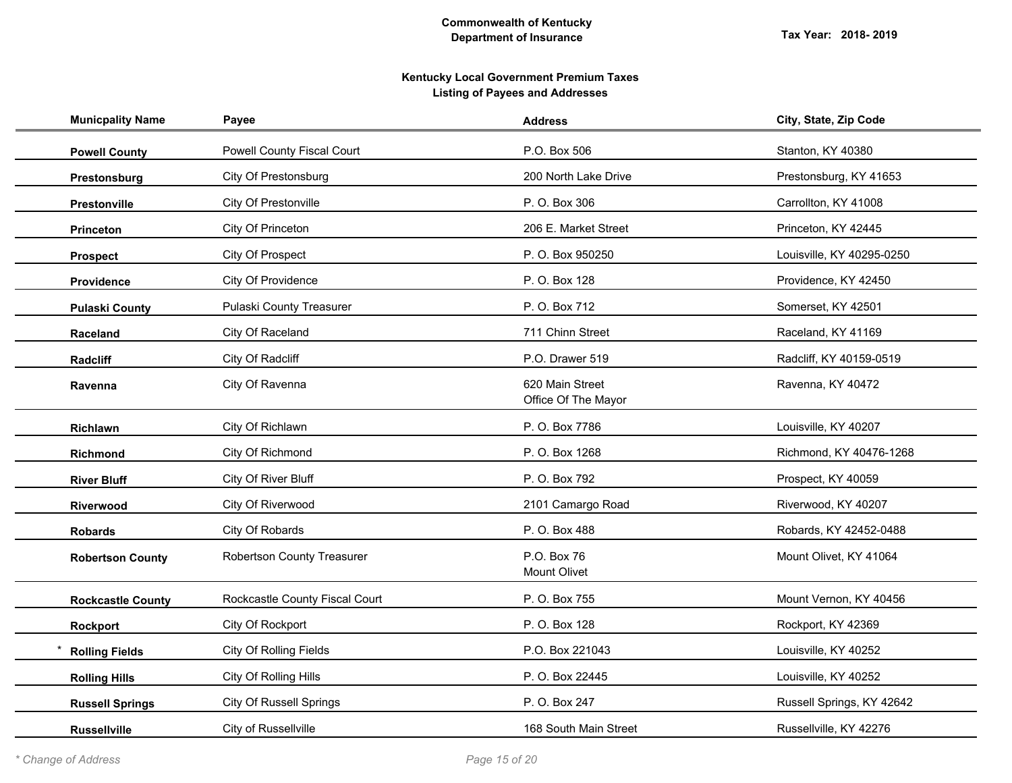| <b>Municpality Name</b>  | Payee                          | <b>Address</b>                         | City, State, Zip Code     |
|--------------------------|--------------------------------|----------------------------------------|---------------------------|
| <b>Powell County</b>     | Powell County Fiscal Court     | P.O. Box 506                           | Stanton, KY 40380         |
| Prestonsburg             | <b>City Of Prestonsburg</b>    | 200 North Lake Drive                   | Prestonsburg, KY 41653    |
| Prestonville             | City Of Prestonville           | P. O. Box 306                          | Carrollton, KY 41008      |
| <b>Princeton</b>         | City Of Princeton              | 206 E. Market Street                   | Princeton, KY 42445       |
| <b>Prospect</b>          | City Of Prospect               | P. O. Box 950250                       | Louisville, KY 40295-0250 |
| Providence               | City Of Providence             | P. O. Box 128                          | Providence, KY 42450      |
| <b>Pulaski County</b>    | Pulaski County Treasurer       | P. O. Box 712                          | Somerset, KY 42501        |
| Raceland                 | City Of Raceland               | 711 Chinn Street                       | Raceland, KY 41169        |
| Radcliff                 | City Of Radcliff               | P.O. Drawer 519                        | Radcliff, KY 40159-0519   |
| Ravenna                  | City Of Ravenna                | 620 Main Street<br>Office Of The Mayor | Ravenna, KY 40472         |
| Richlawn                 | City Of Richlawn               | P. O. Box 7786                         | Louisville, KY 40207      |
| Richmond                 | City Of Richmond               | P. O. Box 1268                         | Richmond, KY 40476-1268   |
| <b>River Bluff</b>       | City Of River Bluff            | P. O. Box 792                          | Prospect, KY 40059        |
| Riverwood                | City Of Riverwood              | 2101 Camargo Road                      | Riverwood, KY 40207       |
| <b>Robards</b>           | City Of Robards                | P. O. Box 488                          | Robards, KY 42452-0488    |
| <b>Robertson County</b>  | Robertson County Treasurer     | P.O. Box 76<br>Mount Olivet            | Mount Olivet, KY 41064    |
| <b>Rockcastle County</b> | Rockcastle County Fiscal Court | P. O. Box 755                          | Mount Vernon, KY 40456    |
| Rockport                 | City Of Rockport               | P. O. Box 128                          | Rockport, KY 42369        |
| <b>Rolling Fields</b>    | City Of Rolling Fields         | P.O. Box 221043                        | Louisville, KY 40252      |
| <b>Rolling Hills</b>     | City Of Rolling Hills          | P. O. Box 22445                        | Louisville, KY 40252      |
| <b>Russell Springs</b>   | <b>City Of Russell Springs</b> | P. O. Box 247                          | Russell Springs, KY 42642 |
| <b>Russellville</b>      | City of Russellville           | 168 South Main Street                  | Russellville, KY 42276    |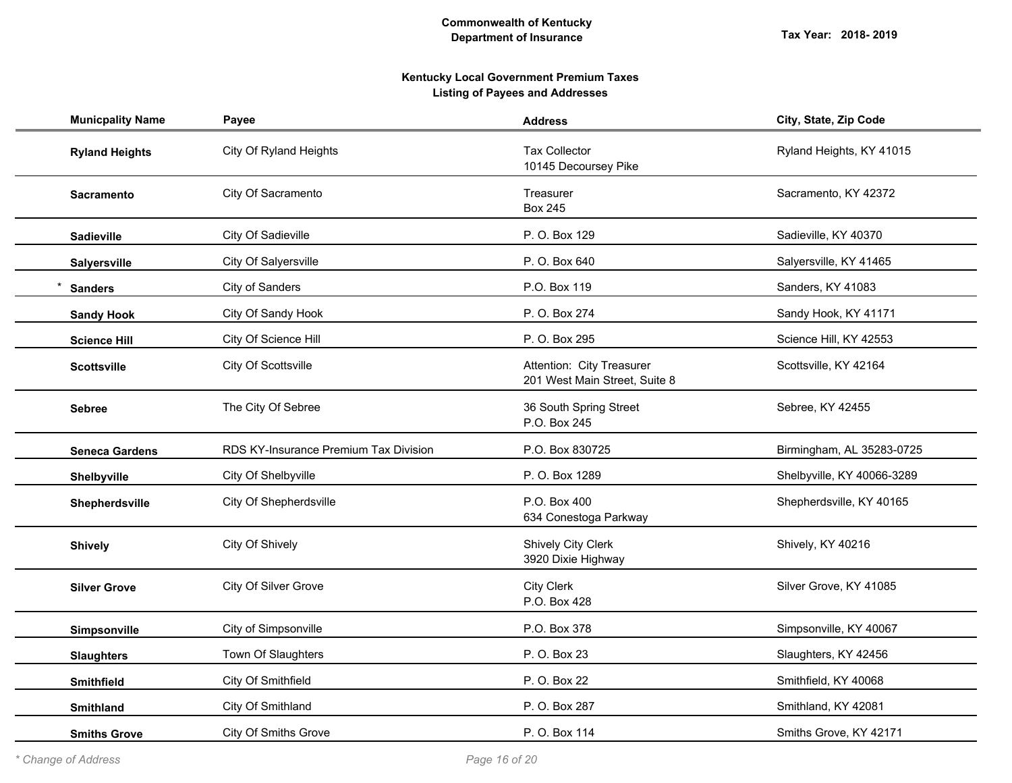# **Kentucky Local Government Premium Taxes Listing of Payees and Addresses**

| <b>Municpality Name</b> | Payee                                 | <b>Address</b>                                             | City, State, Zip Code      |
|-------------------------|---------------------------------------|------------------------------------------------------------|----------------------------|
| <b>Ryland Heights</b>   | City Of Ryland Heights                | <b>Tax Collector</b><br>10145 Decoursey Pike               | Ryland Heights, KY 41015   |
| <b>Sacramento</b>       | City Of Sacramento                    | Treasurer<br><b>Box 245</b>                                | Sacramento, KY 42372       |
| <b>Sadieville</b>       | City Of Sadieville                    | P. O. Box 129                                              | Sadieville, KY 40370       |
| Salyersville            | City Of Salyersville                  | P. O. Box 640                                              | Salyersville, KY 41465     |
| <b>Sanders</b>          | City of Sanders                       | P.O. Box 119                                               | Sanders, KY 41083          |
| <b>Sandy Hook</b>       | City Of Sandy Hook                    | P. O. Box 274                                              | Sandy Hook, KY 41171       |
| <b>Science Hill</b>     | City Of Science Hill                  | P. O. Box 295                                              | Science Hill, KY 42553     |
| <b>Scottsville</b>      | City Of Scottsville                   | Attention: City Treasurer<br>201 West Main Street, Suite 8 | Scottsville, KY 42164      |
| <b>Sebree</b>           | The City Of Sebree                    | 36 South Spring Street<br>P.O. Box 245                     | Sebree, KY 42455           |
| <b>Seneca Gardens</b>   | RDS KY-Insurance Premium Tax Division | P.O. Box 830725                                            | Birmingham, AL 35283-0725  |
| Shelbyville             | City Of Shelbyville                   | P. O. Box 1289                                             | Shelbyville, KY 40066-3289 |
| Shepherdsville          | City Of Shepherdsville                | P.O. Box 400<br>634 Conestoga Parkway                      | Shepherdsville, KY 40165   |
| <b>Shively</b>          | City Of Shively                       | <b>Shively City Clerk</b><br>3920 Dixie Highway            | Shively, KY 40216          |
| <b>Silver Grove</b>     | City Of Silver Grove                  | <b>City Clerk</b><br>P.O. Box 428                          | Silver Grove, KY 41085     |
| Simpsonville            | City of Simpsonville                  | P.O. Box 378                                               | Simpsonville, KY 40067     |
| <b>Slaughters</b>       | Town Of Slaughters                    | P. O. Box 23                                               | Slaughters, KY 42456       |
| <b>Smithfield</b>       | City Of Smithfield                    | P. O. Box 22                                               | Smithfield, KY 40068       |
| <b>Smithland</b>        | City Of Smithland                     | P. O. Box 287                                              | Smithland, KY 42081        |
| <b>Smiths Grove</b>     | <b>City Of Smiths Grove</b>           | P. O. Box 114                                              | Smiths Grove, KY 42171     |

*\* Change of Address Page 16 of 20*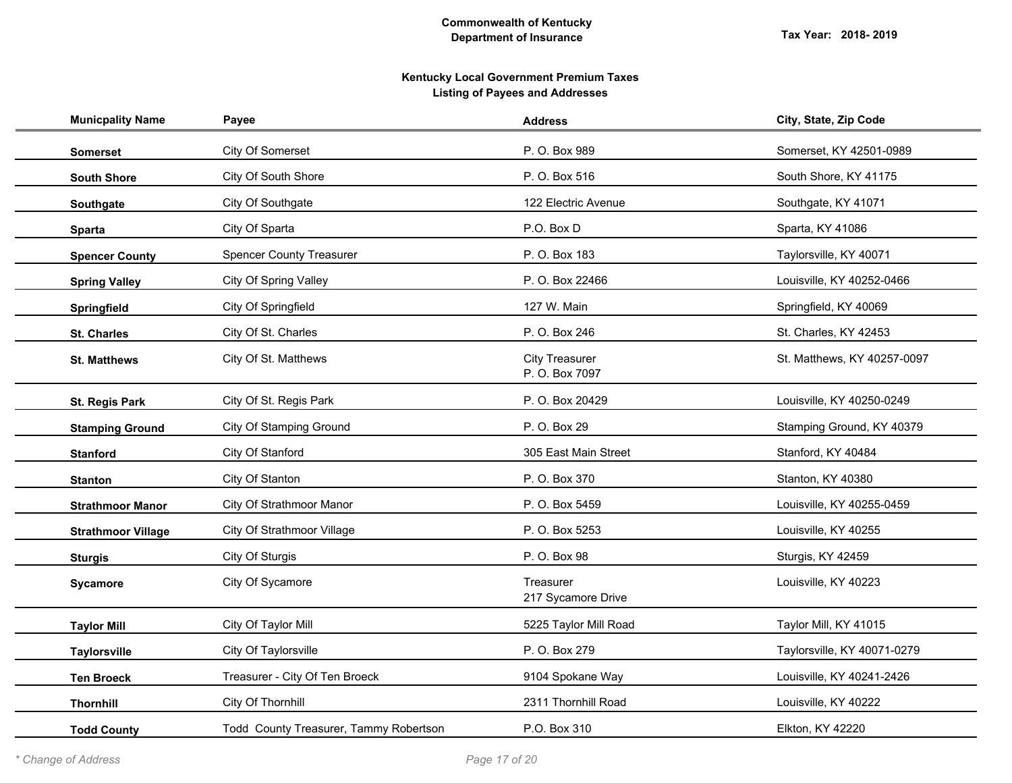| <b>Municpality Name</b>   | Payee                                  | <b>Address</b>                          | City, State, Zip Code       |
|---------------------------|----------------------------------------|-----------------------------------------|-----------------------------|
| <b>Somerset</b>           | City Of Somerset                       | P. O. Box 989                           | Somerset, KY 42501-0989     |
| <b>South Shore</b>        | City Of South Shore                    | P. O. Box 516                           | South Shore, KY 41175       |
| Southgate                 | City Of Southgate                      | 122 Electric Avenue                     | Southgate, KY 41071         |
| <b>Sparta</b>             | City Of Sparta                         | P.O. Box D                              | Sparta, KY 41086            |
| <b>Spencer County</b>     | <b>Spencer County Treasurer</b>        | P. O. Box 183                           | Taylorsville, KY 40071      |
| <b>Spring Valley</b>      | <b>City Of Spring Valley</b>           | P. O. Box 22466                         | Louisville, KY 40252-0466   |
| Springfield               | City Of Springfield                    | 127 W. Main                             | Springfield, KY 40069       |
| <b>St. Charles</b>        | City Of St. Charles                    | P. O. Box 246                           | St. Charles, KY 42453       |
| <b>St. Matthews</b>       | City Of St. Matthews                   | <b>City Treasurer</b><br>P. O. Box 7097 | St. Matthews, KY 40257-0097 |
| St. Regis Park            | City Of St. Regis Park                 | P. O. Box 20429                         | Louisville, KY 40250-0249   |
| <b>Stamping Ground</b>    | City Of Stamping Ground                | P. O. Box 29                            | Stamping Ground, KY 40379   |
| <b>Stanford</b>           | City Of Stanford                       | 305 East Main Street                    | Stanford, KY 40484          |
| <b>Stanton</b>            | City Of Stanton                        | P. O. Box 370                           | Stanton, KY 40380           |
| <b>Strathmoor Manor</b>   | City Of Strathmoor Manor               | P. O. Box 5459                          | Louisville, KY 40255-0459   |
| <b>Strathmoor Village</b> | City Of Strathmoor Village             | P. O. Box 5253                          | Louisville, KY 40255        |
| <b>Sturgis</b>            | City Of Sturgis                        | P. O. Box 98                            | Sturgis, KY 42459           |
| Sycamore                  | City Of Sycamore                       | Treasurer<br>217 Sycamore Drive         | Louisville, KY 40223        |
| <b>Taylor Mill</b>        | City Of Taylor Mill                    | 5225 Taylor Mill Road                   | Taylor Mill, KY 41015       |
| <b>Taylorsville</b>       | City Of Taylorsville                   | P. O. Box 279                           | Taylorsville, KY 40071-0279 |
| <b>Ten Broeck</b>         | Treasurer - City Of Ten Broeck         | 9104 Spokane Way                        | Louisville, KY 40241-2426   |
| <b>Thornhill</b>          | City Of Thornhill                      | 2311 Thornhill Road                     | Louisville, KY 40222        |
| <b>Todd County</b>        | Todd County Treasurer, Tammy Robertson | P.O. Box 310                            | Elkton, KY 42220            |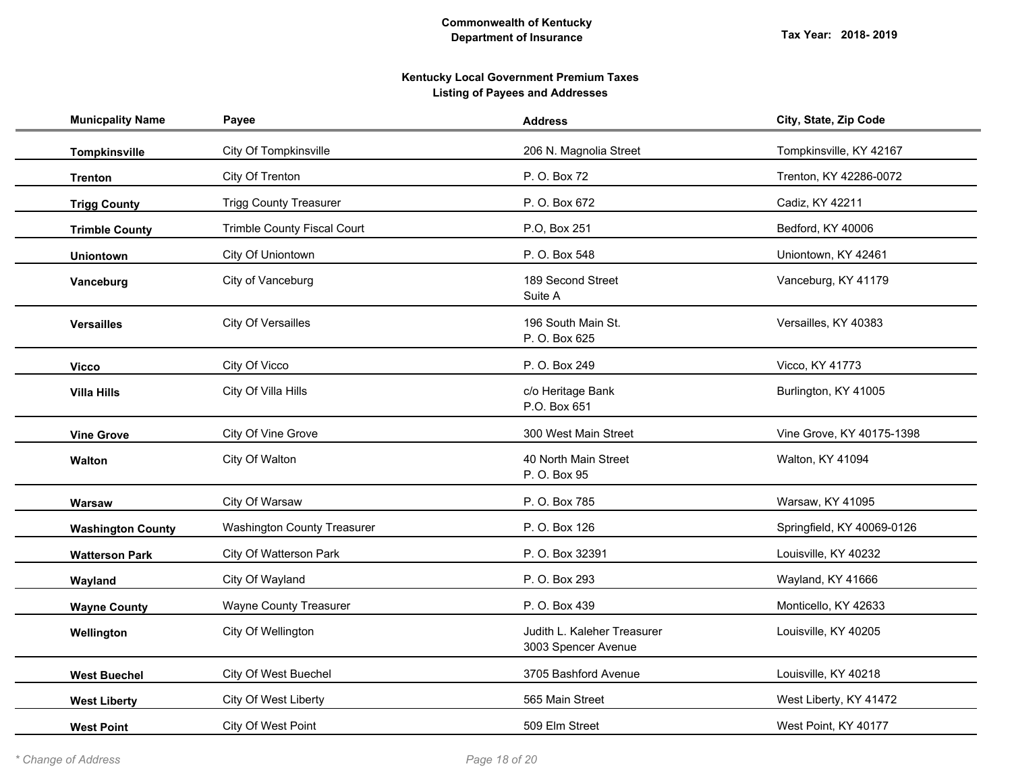| <b>Municpality Name</b>  | Payee                              | <b>Address</b>                                     | City, State, Zip Code      |
|--------------------------|------------------------------------|----------------------------------------------------|----------------------------|
| <b>Tompkinsville</b>     | <b>City Of Tompkinsville</b>       | 206 N. Magnolia Street                             | Tompkinsville, KY 42167    |
| <b>Trenton</b>           | City Of Trenton                    | P. O. Box 72                                       | Trenton, KY 42286-0072     |
| <b>Trigg County</b>      | <b>Trigg County Treasurer</b>      | P. O. Box 672                                      | Cadiz, KY 42211            |
| <b>Trimble County</b>    | Trimble County Fiscal Court        | P.O, Box 251                                       | Bedford, KY 40006          |
| <b>Uniontown</b>         | City Of Uniontown                  | P. O. Box 548                                      | Uniontown, KY 42461        |
| Vanceburg                | City of Vanceburg                  | 189 Second Street<br>Suite A                       | Vanceburg, KY 41179        |
| <b>Versailles</b>        | City Of Versailles                 | 196 South Main St.<br>P. O. Box 625                | Versailles, KY 40383       |
| <b>Vicco</b>             | City Of Vicco                      | P. O. Box 249                                      | Vicco, KY 41773            |
| <b>Villa Hills</b>       | City Of Villa Hills                | c/o Heritage Bank<br>P.O. Box 651                  | Burlington, KY 41005       |
| <b>Vine Grove</b>        | City Of Vine Grove                 | 300 West Main Street                               | Vine Grove, KY 40175-1398  |
| Walton                   | City Of Walton                     | 40 North Main Street<br>P. O. Box 95               | Walton, KY 41094           |
| Warsaw                   | City Of Warsaw                     | P. O. Box 785                                      | Warsaw, KY 41095           |
| <b>Washington County</b> | <b>Washington County Treasurer</b> | P. O. Box 126                                      | Springfield, KY 40069-0126 |
| <b>Watterson Park</b>    | City Of Watterson Park             | P. O. Box 32391                                    | Louisville, KY 40232       |
| Wayland                  | City Of Wayland                    | P. O. Box 293                                      | Wayland, KY 41666          |
| <b>Wayne County</b>      | <b>Wayne County Treasurer</b>      | P. O. Box 439                                      | Monticello, KY 42633       |
| Wellington               | City Of Wellington                 | Judith L. Kaleher Treasurer<br>3003 Spencer Avenue | Louisville, KY 40205       |
| <b>West Buechel</b>      | City Of West Buechel               | 3705 Bashford Avenue                               | Louisville, KY 40218       |
| <b>West Liberty</b>      | City Of West Liberty               | 565 Main Street                                    | West Liberty, KY 41472     |
| <b>West Point</b>        | City Of West Point                 | 509 Elm Street                                     | West Point, KY 40177       |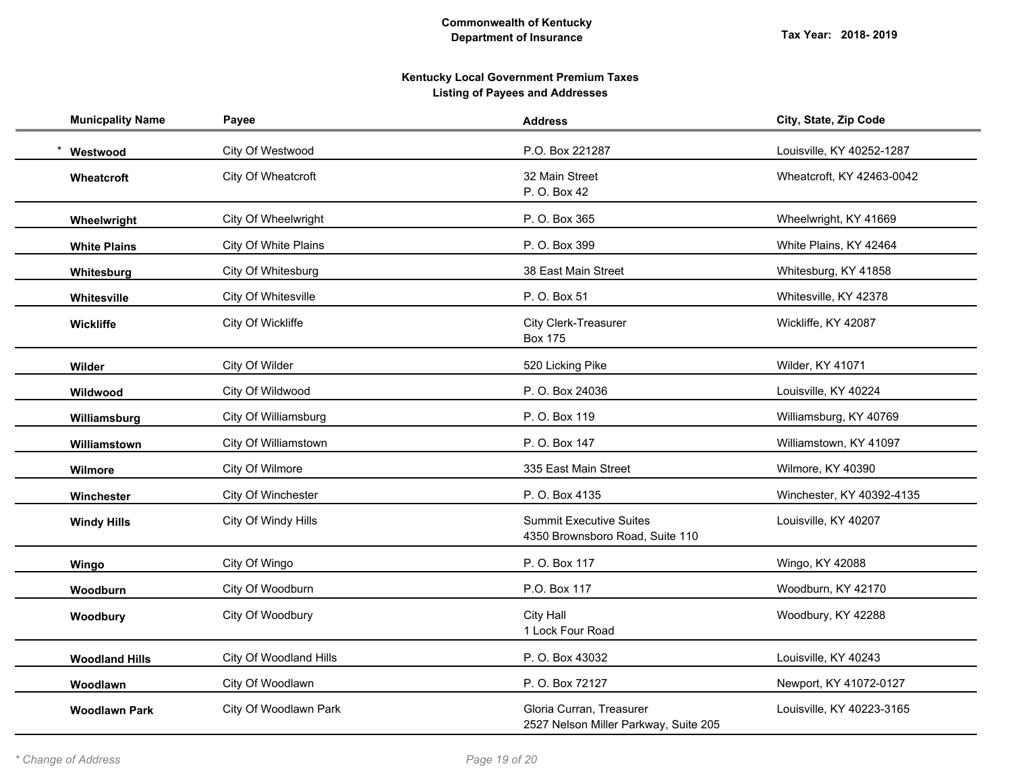| <b>Municpality Name</b> | Payee                  | <b>Address</b>                                                    | City, State, Zip Code     |
|-------------------------|------------------------|-------------------------------------------------------------------|---------------------------|
| Westwood                | City Of Westwood       | P.O. Box 221287                                                   | Louisville, KY 40252-1287 |
| <b>Wheatcroft</b>       | City Of Wheatcroft     | 32 Main Street<br>P. O. Box 42                                    | Wheatcroft, KY 42463-0042 |
| Wheelwright             | City Of Wheelwright    | P. O. Box 365                                                     | Wheelwright, KY 41669     |
| <b>White Plains</b>     | City Of White Plains   | P. O. Box 399                                                     | White Plains, KY 42464    |
| Whitesburg              | City Of Whitesburg     | 38 East Main Street                                               | Whitesburg, KY 41858      |
| Whitesville             | City Of Whitesville    | P. O. Box 51                                                      | Whitesville, KY 42378     |
| Wickliffe               | City Of Wickliffe      | City Clerk-Treasurer<br><b>Box 175</b>                            | Wickliffe, KY 42087       |
| Wilder                  | City Of Wilder         | 520 Licking Pike                                                  | Wilder, KY 41071          |
| Wildwood                | City Of Wildwood       | P. O. Box 24036                                                   | Louisville, KY 40224      |
| Williamsburg            | City Of Williamsburg   | P. O. Box 119                                                     | Williamsburg, KY 40769    |
| Williamstown            | City Of Williamstown   | P. O. Box 147                                                     | Williamstown, KY 41097    |
| Wilmore                 | City Of Wilmore        | 335 East Main Street                                              | Wilmore, KY 40390         |
| Winchester              | City Of Winchester     | P. O. Box 4135                                                    | Winchester, KY 40392-4135 |
| <b>Windy Hills</b>      | City Of Windy Hills    | <b>Summit Executive Suites</b><br>4350 Brownsboro Road, Suite 110 | Louisville, KY 40207      |
| Wingo                   | City Of Wingo          | P. O. Box 117                                                     | Wingo, KY 42088           |
| Woodburn                | City Of Woodburn       | P.O. Box 117                                                      | Woodburn, KY 42170        |
| Woodbury                | City Of Woodbury       | <b>City Hall</b><br>1 Lock Four Road                              | Woodbury, KY 42288        |
| <b>Woodland Hills</b>   | City Of Woodland Hills | P. O. Box 43032                                                   | Louisville, KY 40243      |
| Woodlawn                | City Of Woodlawn       | P. O. Box 72127                                                   | Newport, KY 41072-0127    |
| <b>Woodlawn Park</b>    | City Of Woodlawn Park  | Gloria Curran, Treasurer<br>2527 Nelson Miller Parkway, Suite 205 | Louisville, KY 40223-3165 |